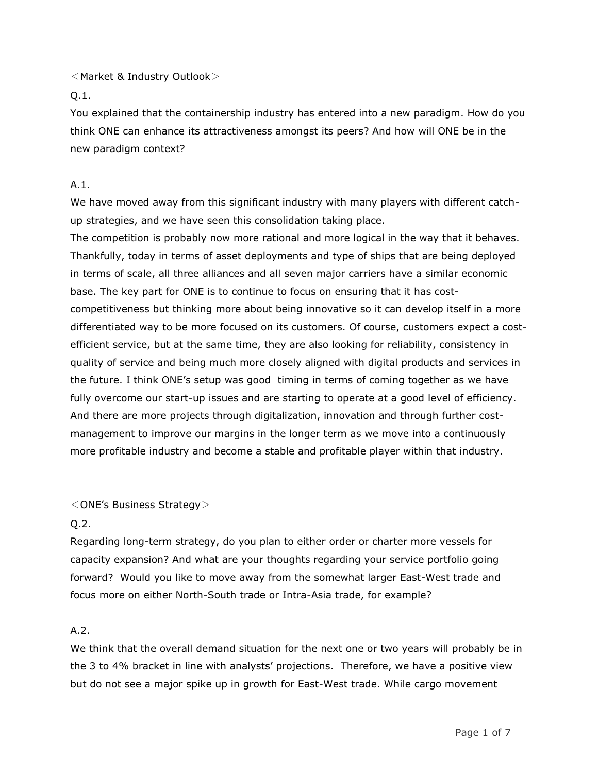<Market & Industry Outlook>

Q.1.

You explained that the containership industry has entered into a new paradigm. How do you think ONE can enhance its attractiveness amongst its peers? And how will ONE be in the new paradigm context?

## A.1.

We have moved away from this significant industry with many players with different catchup strategies, and we have seen this consolidation taking place.

The competition is probably now more rational and more logical in the way that it behaves. Thankfully, today in terms of asset deployments and type of ships that are being deployed in terms of scale, all three alliances and all seven major carriers have a similar economic base. The key part for ONE is to continue to focus on ensuring that it has costcompetitiveness but thinking more about being innovative so it can develop itself in a more differentiated way to be more focused on its customers. Of course, customers expect a costefficient service, but at the same time, they are also looking for reliability, consistency in quality of service and being much more closely aligned with digital products and services in the future. I think ONE's setup was good timing in terms of coming together as we have fully overcome our start-up issues and are starting to operate at a good level of efficiency. And there are more projects through digitalization, innovation and through further costmanagement to improve our margins in the longer term as we move into a continuously more profitable industry and become a stable and profitable player within that industry.

## <ONE's Business Strategy>

## $O.2.$

Regarding long-term strategy, do you plan to either order or charter more vessels for capacity expansion? And what are your thoughts regarding your service portfolio going forward? Would you like to move away from the somewhat larger East-West trade and focus more on either North-South trade or Intra-Asia trade, for example?

# A.2.

We think that the overall demand situation for the next one or two years will probably be in the 3 to 4% bracket in line with analysts' projections. Therefore, we have a positive view but do not see a major spike up in growth for East-West trade. While cargo movement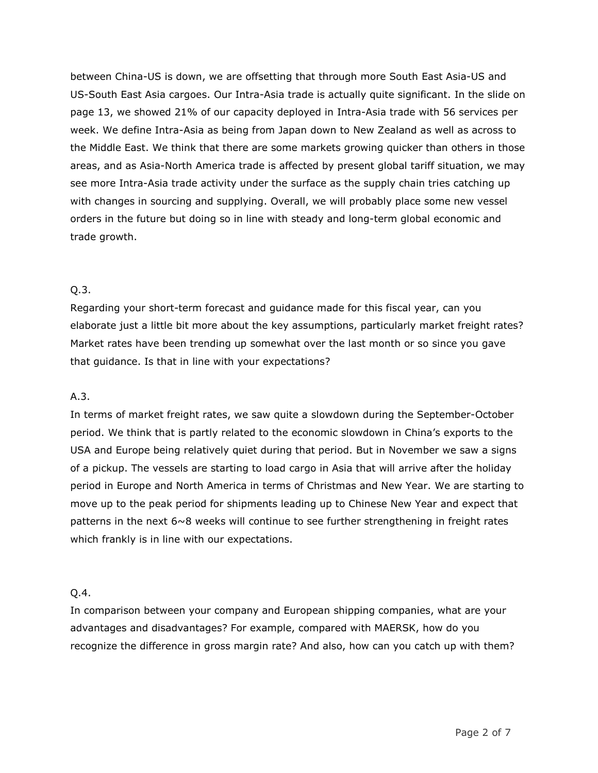between China-US is down, we are offsetting that through more South East Asia-US and US-South East Asia cargoes. Our Intra-Asia trade is actually quite significant. In the slide on page 13, we showed 21% of our capacity deployed in Intra-Asia trade with 56 services per week. We define Intra-Asia as being from Japan down to New Zealand as well as across to the Middle East. We think that there are some markets growing quicker than others in those areas, and as Asia-North America trade is affected by present global tariff situation, we may see more Intra-Asia trade activity under the surface as the supply chain tries catching up with changes in sourcing and supplying. Overall, we will probably place some new vessel orders in the future but doing so in line with steady and long-term global economic and trade growth.

### Q.3.

Regarding your short-term forecast and guidance made for this fiscal year, can you elaborate just a little bit more about the key assumptions, particularly market freight rates? Market rates have been trending up somewhat over the last month or so since you gave that guidance. Is that in line with your expectations?

## A.3.

In terms of market freight rates, we saw quite a slowdown during the September-October period. We think that is partly related to the economic slowdown in China's exports to the USA and Europe being relatively quiet during that period. But in November we saw a signs of a pickup. The vessels are starting to load cargo in Asia that will arrive after the holiday period in Europe and North America in terms of Christmas and New Year. We are starting to move up to the peak period for shipments leading up to Chinese New Year and expect that patterns in the next  $6~\textdegree$  weeks will continue to see further strengthening in freight rates which frankly is in line with our expectations.

#### Q.4.

In comparison between your company and European shipping companies, what are your advantages and disadvantages? For example, compared with MAERSK, how do you recognize the difference in gross margin rate? And also, how can you catch up with them?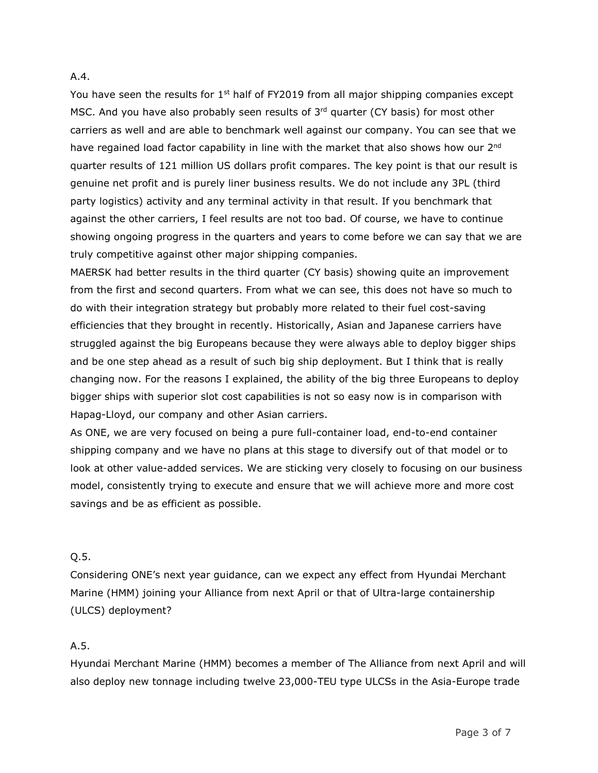#### A.4.

You have seen the results for 1<sup>st</sup> half of FY2019 from all major shipping companies except MSC. And you have also probably seen results of  $3<sup>rd</sup>$  quarter (CY basis) for most other carriers as well and are able to benchmark well against our company. You can see that we have regained load factor capability in line with the market that also shows how our 2<sup>nd</sup> quarter results of 121 million US dollars profit compares. The key point is that our result is genuine net profit and is purely liner business results. We do not include any 3PL (third party logistics) activity and any terminal activity in that result. If you benchmark that against the other carriers, I feel results are not too bad. Of course, we have to continue showing ongoing progress in the quarters and years to come before we can say that we are truly competitive against other major shipping companies.

MAERSK had better results in the third quarter (CY basis) showing quite an improvement from the first and second quarters. From what we can see, this does not have so much to do with their integration strategy but probably more related to their fuel cost-saving efficiencies that they brought in recently. Historically, Asian and Japanese carriers have struggled against the big Europeans because they were always able to deploy bigger ships and be one step ahead as a result of such big ship deployment. But I think that is really changing now. For the reasons I explained, the ability of the big three Europeans to deploy bigger ships with superior slot cost capabilities is not so easy now is in comparison with Hapag-Lloyd, our company and other Asian carriers.

As ONE, we are very focused on being a pure full-container load, end-to-end container shipping company and we have no plans at this stage to diversify out of that model or to look at other value-added services. We are sticking very closely to focusing on our business model, consistently trying to execute and ensure that we will achieve more and more cost savings and be as efficient as possible.

### Q.5.

Considering ONE's next year guidance, can we expect any effect from Hyundai Merchant Marine (HMM) joining your Alliance from next April or that of Ultra-large containership (ULCS) deployment?

## A.5.

Hyundai Merchant Marine (HMM) becomes a member of The Alliance from next April and will also deploy new tonnage including twelve 23,000-TEU type ULCSs in the Asia-Europe trade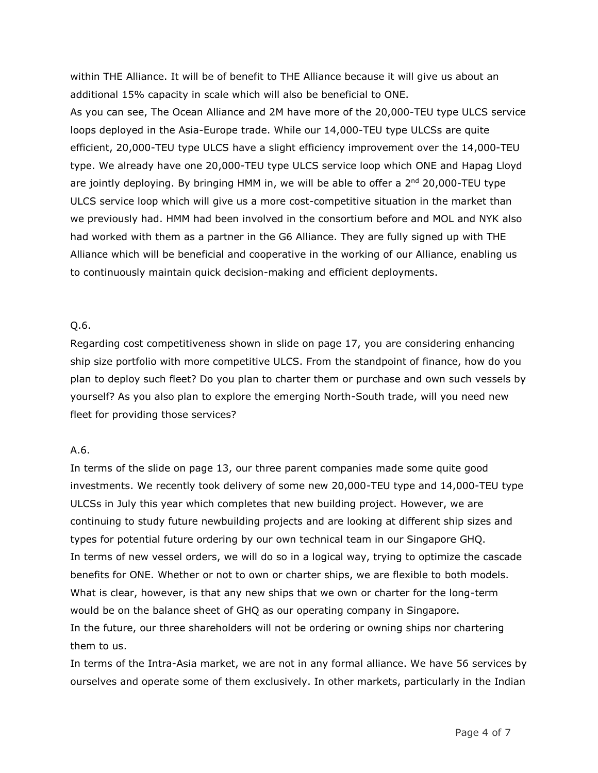within THE Alliance. It will be of benefit to THE Alliance because it will give us about an additional 15% capacity in scale which will also be beneficial to ONE. As you can see, The Ocean Alliance and 2M have more of the 20,000-TEU type ULCS service loops deployed in the Asia-Europe trade. While our 14,000-TEU type ULCSs are quite efficient, 20,000-TEU type ULCS have a slight efficiency improvement over the 14,000-TEU type. We already have one 20,000-TEU type ULCS service loop which ONE and Hapag Lloyd are jointly deploying. By bringing HMM in, we will be able to offer a 2<sup>nd</sup> 20,000-TEU type ULCS service loop which will give us a more cost-competitive situation in the market than we previously had. HMM had been involved in the consortium before and MOL and NYK also had worked with them as a partner in the G6 Alliance. They are fully signed up with THE Alliance which will be beneficial and cooperative in the working of our Alliance, enabling us to continuously maintain quick decision-making and efficient deployments.

#### Q.6.

Regarding cost competitiveness shown in slide on page 17, you are considering enhancing ship size portfolio with more competitive ULCS. From the standpoint of finance, how do you plan to deploy such fleet? Do you plan to charter them or purchase and own such vessels by yourself? As you also plan to explore the emerging North-South trade, will you need new fleet for providing those services?

#### A.6.

In terms of the slide on page 13, our three parent companies made some quite good investments. We recently took delivery of some new 20,000-TEU type and 14,000-TEU type ULCSs in July this year which completes that new building project. However, we are continuing to study future newbuilding projects and are looking at different ship sizes and types for potential future ordering by our own technical team in our Singapore GHQ. In terms of new vessel orders, we will do so in a logical way, trying to optimize the cascade benefits for ONE. Whether or not to own or charter ships, we are flexible to both models. What is clear, however, is that any new ships that we own or charter for the long-term would be on the balance sheet of GHQ as our operating company in Singapore. In the future, our three shareholders will not be ordering or owning ships nor chartering them to us.

In terms of the Intra-Asia market, we are not in any formal alliance. We have 56 services by ourselves and operate some of them exclusively. In other markets, particularly in the Indian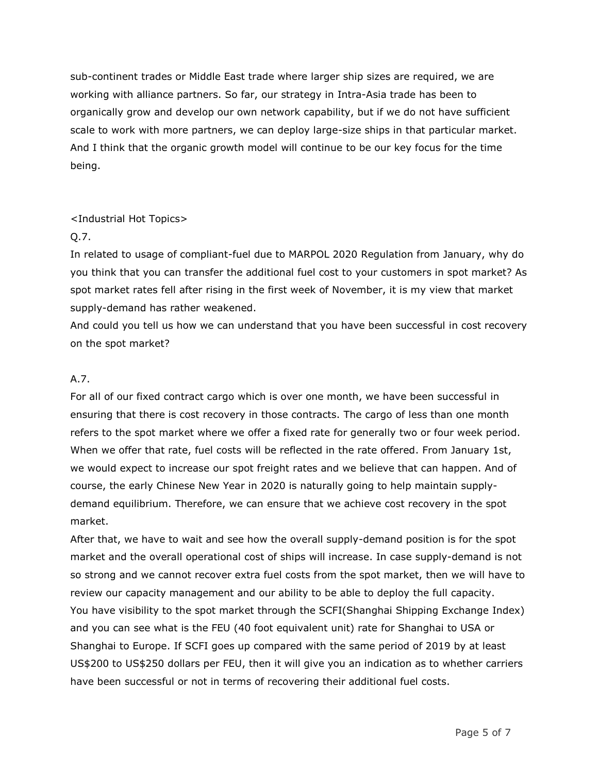sub-continent trades or Middle East trade where larger ship sizes are required, we are working with alliance partners. So far, our strategy in Intra-Asia trade has been to organically grow and develop our own network capability, but if we do not have sufficient scale to work with more partners, we can deploy large-size ships in that particular market. And I think that the organic growth model will continue to be our key focus for the time being.

## <Industrial Hot Topics>

# Q.7.

In related to usage of compliant-fuel due to MARPOL 2020 Regulation from January, why do you think that you can transfer the additional fuel cost to your customers in spot market? As spot market rates fell after rising in the first week of November, it is my view that market supply-demand has rather weakened.

And could you tell us how we can understand that you have been successful in cost recovery on the spot market?

# A.7.

For all of our fixed contract cargo which is over one month, we have been successful in ensuring that there is cost recovery in those contracts. The cargo of less than one month refers to the spot market where we offer a fixed rate for generally two or four week period. When we offer that rate, fuel costs will be reflected in the rate offered. From January 1st, we would expect to increase our spot freight rates and we believe that can happen. And of course, the early Chinese New Year in 2020 is naturally going to help maintain supplydemand equilibrium. Therefore, we can ensure that we achieve cost recovery in the spot market.

After that, we have to wait and see how the overall supply-demand position is for the spot market and the overall operational cost of ships will increase. In case supply-demand is not so strong and we cannot recover extra fuel costs from the spot market, then we will have to review our capacity management and our ability to be able to deploy the full capacity. You have visibility to the spot market through the SCFI(Shanghai Shipping Exchange Index) and you can see what is the FEU (40 foot equivalent unit) rate for Shanghai to USA or Shanghai to Europe. If SCFI goes up compared with the same period of 2019 by at least US\$200 to US\$250 dollars per FEU, then it will give you an indication as to whether carriers have been successful or not in terms of recovering their additional fuel costs.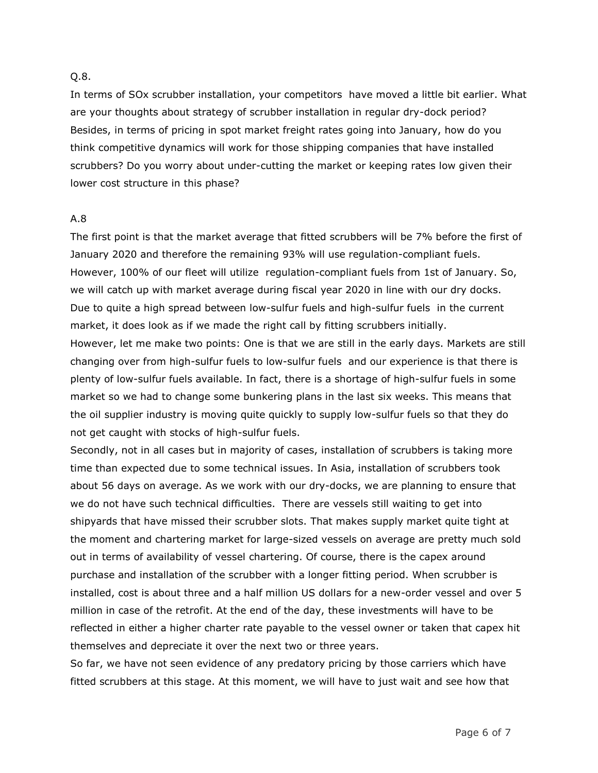#### Q.8.

In terms of SOx scrubber installation, your competitors have moved a little bit earlier. What are your thoughts about strategy of scrubber installation in regular dry-dock period? Besides, in terms of pricing in spot market freight rates going into January, how do you think competitive dynamics will work for those shipping companies that have installed scrubbers? Do you worry about under-cutting the market or keeping rates low given their lower cost structure in this phase?

#### A.8

The first point is that the market average that fitted scrubbers will be 7% before the first of January 2020 and therefore the remaining 93% will use regulation-compliant fuels. However, 100% of our fleet will utilize regulation-compliant fuels from 1st of January. So, we will catch up with market average during fiscal year 2020 in line with our dry docks. Due to quite a high spread between low-sulfur fuels and high-sulfur fuels in the current market, it does look as if we made the right call by fitting scrubbers initially. However, let me make two points: One is that we are still in the early days. Markets are still

changing over from high-sulfur fuels to low-sulfur fuels and our experience is that there is plenty of low-sulfur fuels available. In fact, there is a shortage of high-sulfur fuels in some market so we had to change some bunkering plans in the last six weeks. This means that the oil supplier industry is moving quite quickly to supply low-sulfur fuels so that they do not get caught with stocks of high-sulfur fuels.

Secondly, not in all cases but in majority of cases, installation of scrubbers is taking more time than expected due to some technical issues. In Asia, installation of scrubbers took about 56 days on average. As we work with our dry-docks, we are planning to ensure that we do not have such technical difficulties. There are vessels still waiting to get into shipyards that have missed their scrubber slots. That makes supply market quite tight at the moment and chartering market for large-sized vessels on average are pretty much sold out in terms of availability of vessel chartering. Of course, there is the capex around purchase and installation of the scrubber with a longer fitting period. When scrubber is installed, cost is about three and a half million US dollars for a new-order vessel and over 5 million in case of the retrofit. At the end of the day, these investments will have to be reflected in either a higher charter rate payable to the vessel owner or taken that capex hit themselves and depreciate it over the next two or three years.

So far, we have not seen evidence of any predatory pricing by those carriers which have fitted scrubbers at this stage. At this moment, we will have to just wait and see how that